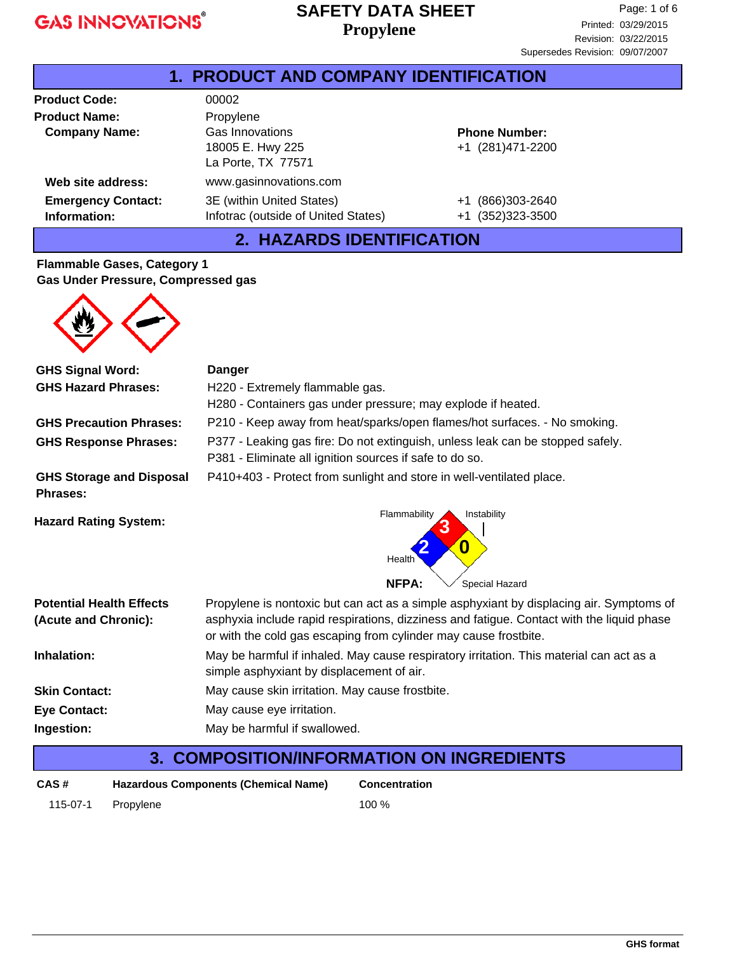### **Propylene SAFETY DATA SHEET**

| <b>1. PRODUCT AND COMPANY IDENTIFICATION</b> |                                                                  |                                           |  |
|----------------------------------------------|------------------------------------------------------------------|-------------------------------------------|--|
| <b>Product Code:</b>                         | 00002                                                            |                                           |  |
| <b>Product Name:</b>                         | Propylene                                                        |                                           |  |
| <b>Company Name:</b>                         | <b>Gas Innovations</b><br>18005 E. Hwy 225<br>La Porte, TX 77571 | <b>Phone Number:</b><br>+1 (281)471-2200  |  |
| Web site address:                            | www.gasinnovations.com                                           |                                           |  |
| <b>Emergency Contact:</b><br>Information:    | 3E (within United States)<br>Infotrac (outside of United States) | (866)303-2640<br>$+1$<br>+1 (352)323-3500 |  |

### **2. HAZARDS IDENTIFICATION**

#### **Flammable Gases, Category 1 Gas Under Pressure, Compressed gas**



| <b>GHS Signal Word:</b>                                 | <b>Danger</b>                                                                                                                                                                                                                                            |  |  |
|---------------------------------------------------------|----------------------------------------------------------------------------------------------------------------------------------------------------------------------------------------------------------------------------------------------------------|--|--|
| <b>GHS Hazard Phrases:</b>                              | H220 - Extremely flammable gas.                                                                                                                                                                                                                          |  |  |
|                                                         | H280 - Containers gas under pressure; may explode if heated.                                                                                                                                                                                             |  |  |
| <b>GHS Precaution Phrases:</b>                          | P210 - Keep away from heat/sparks/open flames/hot surfaces. - No smoking.                                                                                                                                                                                |  |  |
| <b>GHS Response Phrases:</b>                            | P377 - Leaking gas fire: Do not extinguish, unless leak can be stopped safely.<br>P381 - Eliminate all ignition sources if safe to do so.                                                                                                                |  |  |
| <b>GHS Storage and Disposal</b><br>Phrases:             | P410+403 - Protect from sunlight and store in well-ventilated place.                                                                                                                                                                                     |  |  |
| <b>Hazard Rating System:</b>                            | Flammability<br>Instability<br>3<br>0<br>Health                                                                                                                                                                                                          |  |  |
|                                                         | <b>NFPA:</b><br>Special Hazard                                                                                                                                                                                                                           |  |  |
| <b>Potential Health Effects</b><br>(Acute and Chronic): | Propylene is nontoxic but can act as a simple asphyxiant by displacing air. Symptoms of<br>asphyxia include rapid respirations, dizziness and fatigue. Contact with the liquid phase<br>or with the cold gas escaping from cylinder may cause frostbite. |  |  |
| Inhalation:                                             | May be harmful if inhaled. May cause respiratory irritation. This material can act as a<br>simple asphyxiant by displacement of air.                                                                                                                     |  |  |
| <b>Skin Contact:</b>                                    | May cause skin irritation. May cause frostbite.                                                                                                                                                                                                          |  |  |
| <b>Eye Contact:</b>                                     | May cause eye irritation.                                                                                                                                                                                                                                |  |  |
| Ingestion:                                              | May be harmful if swallowed.                                                                                                                                                                                                                             |  |  |

#### **3. COMPOSITION/INFORMATION ON INGREDIENTS**

| CAS#     | <b>Hazardous Components (Chemical Name)</b> | <b>Concentration</b> |
|----------|---------------------------------------------|----------------------|
| 115-07-1 | Propylene                                   | 100 %                |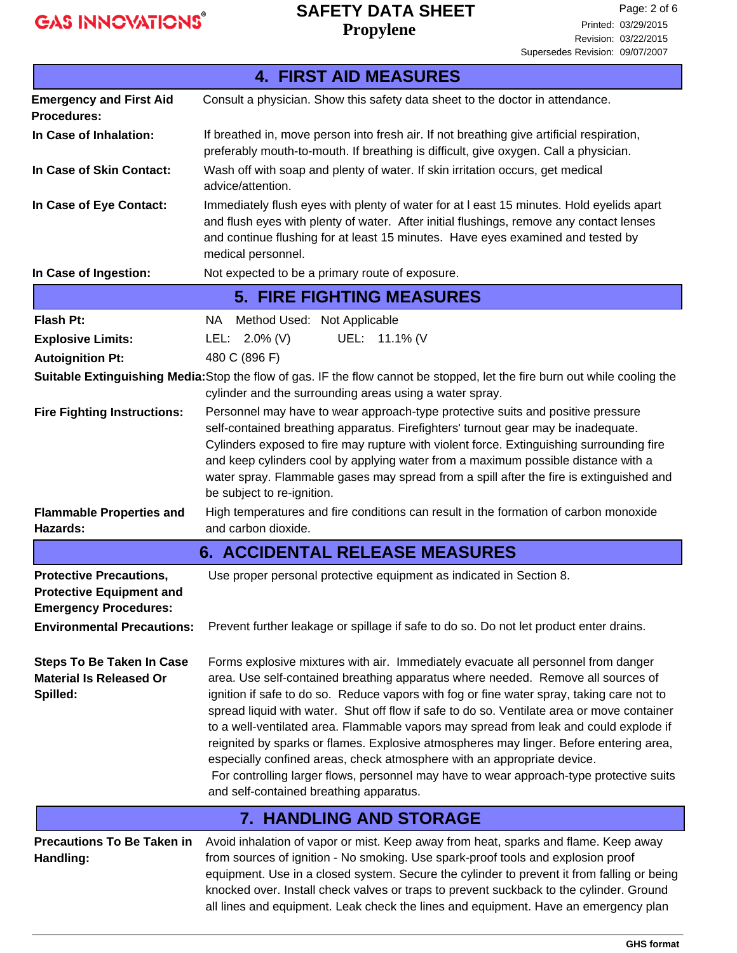# **Propylene SAFETY DATA SHEET**

| <b>4. FIRST AID MEASURES</b>                                                                      |                                                                                                                                                                                                                                                                                                                                                                                                                                                                                                                                                                                                                                                                                                                                                                      |  |  |  |
|---------------------------------------------------------------------------------------------------|----------------------------------------------------------------------------------------------------------------------------------------------------------------------------------------------------------------------------------------------------------------------------------------------------------------------------------------------------------------------------------------------------------------------------------------------------------------------------------------------------------------------------------------------------------------------------------------------------------------------------------------------------------------------------------------------------------------------------------------------------------------------|--|--|--|
| <b>Emergency and First Aid</b><br><b>Procedures:</b>                                              | Consult a physician. Show this safety data sheet to the doctor in attendance.                                                                                                                                                                                                                                                                                                                                                                                                                                                                                                                                                                                                                                                                                        |  |  |  |
| In Case of Inhalation:                                                                            | If breathed in, move person into fresh air. If not breathing give artificial respiration,<br>preferably mouth-to-mouth. If breathing is difficult, give oxygen. Call a physician.                                                                                                                                                                                                                                                                                                                                                                                                                                                                                                                                                                                    |  |  |  |
| In Case of Skin Contact:                                                                          | Wash off with soap and plenty of water. If skin irritation occurs, get medical<br>advice/attention.                                                                                                                                                                                                                                                                                                                                                                                                                                                                                                                                                                                                                                                                  |  |  |  |
| In Case of Eye Contact:                                                                           | Immediately flush eyes with plenty of water for at I east 15 minutes. Hold eyelids apart<br>and flush eyes with plenty of water. After initial flushings, remove any contact lenses<br>and continue flushing for at least 15 minutes. Have eyes examined and tested by<br>medical personnel.                                                                                                                                                                                                                                                                                                                                                                                                                                                                         |  |  |  |
| In Case of Ingestion:                                                                             | Not expected to be a primary route of exposure.                                                                                                                                                                                                                                                                                                                                                                                                                                                                                                                                                                                                                                                                                                                      |  |  |  |
|                                                                                                   | <b>5. FIRE FIGHTING MEASURES</b>                                                                                                                                                                                                                                                                                                                                                                                                                                                                                                                                                                                                                                                                                                                                     |  |  |  |
| Flash Pt:                                                                                         | Method Used: Not Applicable<br>NA .                                                                                                                                                                                                                                                                                                                                                                                                                                                                                                                                                                                                                                                                                                                                  |  |  |  |
| <b>Explosive Limits:</b>                                                                          | UEL: 11.1% (V<br>LEL: 2.0% (V)                                                                                                                                                                                                                                                                                                                                                                                                                                                                                                                                                                                                                                                                                                                                       |  |  |  |
| <b>Autoignition Pt:</b>                                                                           | 480 C (896 F)                                                                                                                                                                                                                                                                                                                                                                                                                                                                                                                                                                                                                                                                                                                                                        |  |  |  |
|                                                                                                   | Suitable Extinguishing Media: Stop the flow of gas. IF the flow cannot be stopped, let the fire burn out while cooling the<br>cylinder and the surrounding areas using a water spray.                                                                                                                                                                                                                                                                                                                                                                                                                                                                                                                                                                                |  |  |  |
| <b>Fire Fighting Instructions:</b>                                                                | Personnel may have to wear approach-type protective suits and positive pressure<br>self-contained breathing apparatus. Firefighters' turnout gear may be inadequate.<br>Cylinders exposed to fire may rupture with violent force. Extinguishing surrounding fire<br>and keep cylinders cool by applying water from a maximum possible distance with a<br>water spray. Flammable gases may spread from a spill after the fire is extinguished and<br>be subject to re-ignition.                                                                                                                                                                                                                                                                                       |  |  |  |
| <b>Flammable Properties and</b><br>Hazards:                                                       | High temperatures and fire conditions can result in the formation of carbon monoxide<br>and carbon dioxide.                                                                                                                                                                                                                                                                                                                                                                                                                                                                                                                                                                                                                                                          |  |  |  |
|                                                                                                   | <b>6. ACCIDENTAL RELEASE MEASURES</b>                                                                                                                                                                                                                                                                                                                                                                                                                                                                                                                                                                                                                                                                                                                                |  |  |  |
| <b>Protective Precautions,</b><br><b>Protective Equipment and</b><br><b>Emergency Procedures:</b> | Use proper personal protective equipment as indicated in Section 8.                                                                                                                                                                                                                                                                                                                                                                                                                                                                                                                                                                                                                                                                                                  |  |  |  |
| <b>Environmental Precautions:</b>                                                                 | Prevent further leakage or spillage if safe to do so. Do not let product enter drains.                                                                                                                                                                                                                                                                                                                                                                                                                                                                                                                                                                                                                                                                               |  |  |  |
| <b>Steps To Be Taken In Case</b><br><b>Material Is Released Or</b><br>Spilled:                    | Forms explosive mixtures with air. Immediately evacuate all personnel from danger<br>area. Use self-contained breathing apparatus where needed. Remove all sources of<br>ignition if safe to do so. Reduce vapors with fog or fine water spray, taking care not to<br>spread liquid with water. Shut off flow if safe to do so. Ventilate area or move container<br>to a well-ventilated area. Flammable vapors may spread from leak and could explode if<br>reignited by sparks or flames. Explosive atmospheres may linger. Before entering area,<br>especially confined areas, check atmosphere with an appropriate device.<br>For controlling larger flows, personnel may have to wear approach-type protective suits<br>and self-contained breathing apparatus. |  |  |  |
|                                                                                                   | <b>7. HANDLING AND STORAGE</b>                                                                                                                                                                                                                                                                                                                                                                                                                                                                                                                                                                                                                                                                                                                                       |  |  |  |
| <b>Precautions To Be Taken in</b><br>Handling:                                                    | Avoid inhalation of vapor or mist. Keep away from heat, sparks and flame. Keep away<br>from sources of ignition - No smoking. Use spark-proof tools and explosion proof<br>equipment. Use in a closed system. Secure the cylinder to prevent it from falling or being<br>knocked over. Install check valves or traps to prevent suckback to the cylinder. Ground<br>all lines and equipment. Leak check the lines and equipment. Have an emergency plan                                                                                                                                                                                                                                                                                                              |  |  |  |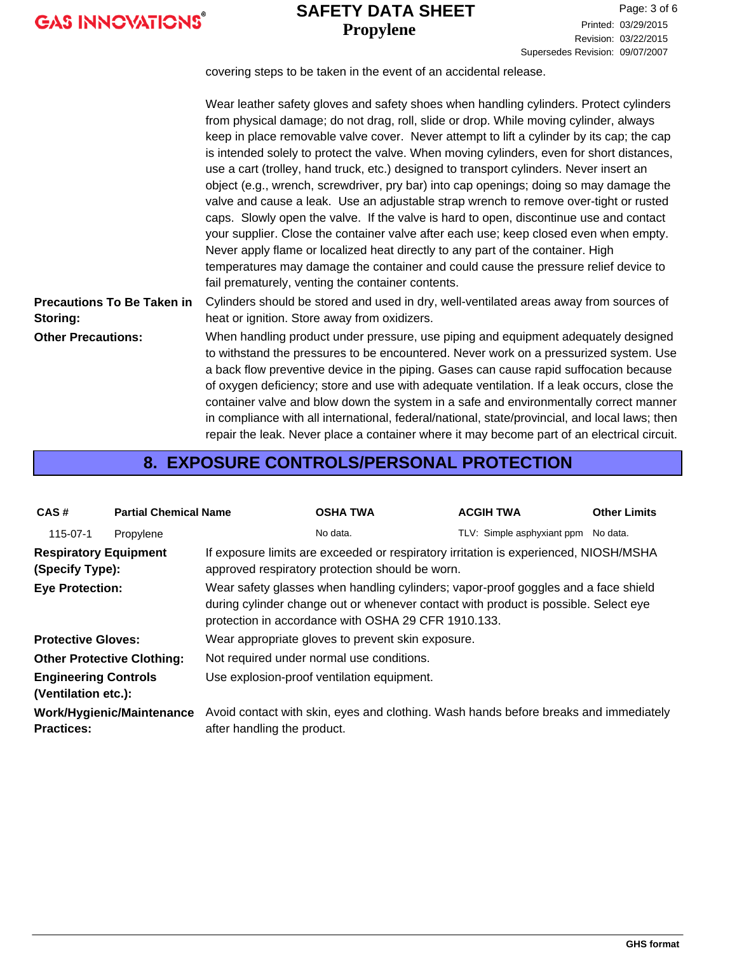### **Propylene SAFETY DATA SHEET**

covering steps to be taken in the event of an accidental release.

|                                               | Wear leather safety gloves and safety shoes when handling cylinders. Protect cylinders<br>from physical damage; do not drag, roll, slide or drop. While moving cylinder, always<br>keep in place removable valve cover. Never attempt to lift a cylinder by its cap; the cap<br>is intended solely to protect the valve. When moving cylinders, even for short distances,<br>use a cart (trolley, hand truck, etc.) designed to transport cylinders. Never insert an<br>object (e.g., wrench, screwdriver, pry bar) into cap openings; doing so may damage the<br>valve and cause a leak. Use an adjustable strap wrench to remove over-tight or rusted<br>caps. Slowly open the valve. If the valve is hard to open, discontinue use and contact<br>your supplier. Close the container valve after each use; keep closed even when empty.<br>Never apply flame or localized heat directly to any part of the container. High<br>temperatures may damage the container and could cause the pressure relief device to<br>fail prematurely, venting the container contents. |
|-----------------------------------------------|---------------------------------------------------------------------------------------------------------------------------------------------------------------------------------------------------------------------------------------------------------------------------------------------------------------------------------------------------------------------------------------------------------------------------------------------------------------------------------------------------------------------------------------------------------------------------------------------------------------------------------------------------------------------------------------------------------------------------------------------------------------------------------------------------------------------------------------------------------------------------------------------------------------------------------------------------------------------------------------------------------------------------------------------------------------------------|
| <b>Precautions To Be Taken in</b><br>Storing: | Cylinders should be stored and used in dry, well-ventilated areas away from sources of<br>heat or ignition. Store away from oxidizers.                                                                                                                                                                                                                                                                                                                                                                                                                                                                                                                                                                                                                                                                                                                                                                                                                                                                                                                                    |
| <b>Other Precautions:</b>                     | When handling product under pressure, use piping and equipment adequately designed<br>to withstand the pressures to be encountered. Never work on a pressurized system. Use<br>a back flow preventive device in the piping. Gases can cause rapid suffocation because<br>of oxygen deficiency; store and use with adequate ventilation. If a leak occurs, close the<br>container valve and blow down the system in a safe and environmentally correct manner<br>in compliance with all international, federal/national, state/provincial, and local laws; then                                                                                                                                                                                                                                                                                                                                                                                                                                                                                                            |

### **8. EXPOSURE CONTROLS/PERSONAL PROTECTION**

repair the leak. Never place a container where it may become part of an electrical circuit.

| CAS#                                                                           | <b>Partial Chemical Name</b> |                                                                                                                                                                                                                                  | <b>OSHA TWA</b>                                                                                                                         | <b>ACGIH TWA</b>           | <b>Other Limits</b> |  |  |
|--------------------------------------------------------------------------------|------------------------------|----------------------------------------------------------------------------------------------------------------------------------------------------------------------------------------------------------------------------------|-----------------------------------------------------------------------------------------------------------------------------------------|----------------------------|---------------------|--|--|
| 115-07-1                                                                       | Propylene                    |                                                                                                                                                                                                                                  | No data.                                                                                                                                | TLV: Simple asphyxiant ppm | No data.            |  |  |
| <b>Respiratory Equipment</b><br>(Specify Type):                                |                              |                                                                                                                                                                                                                                  | If exposure limits are exceeded or respiratory irritation is experienced, NIOSH/MSHA<br>approved respiratory protection should be worn. |                            |                     |  |  |
| <b>Eye Protection:</b>                                                         |                              | Wear safety glasses when handling cylinders; vapor-proof goggles and a face shield<br>during cylinder change out or whenever contact with product is possible. Select eye<br>protection in accordance with OSHA 29 CFR 1910.133. |                                                                                                                                         |                            |                     |  |  |
| Wear appropriate gloves to prevent skin exposure.<br><b>Protective Gloves:</b> |                              |                                                                                                                                                                                                                                  |                                                                                                                                         |                            |                     |  |  |
| <b>Other Protective Clothing:</b>                                              |                              | Not required under normal use conditions.                                                                                                                                                                                        |                                                                                                                                         |                            |                     |  |  |
| <b>Engineering Controls</b><br>(Ventilation etc.):                             |                              | Use explosion-proof ventilation equipment.                                                                                                                                                                                       |                                                                                                                                         |                            |                     |  |  |
| <b>Practices:</b>                                                              | Work/Hygienic/Maintenance    | after handling the product.                                                                                                                                                                                                      | Avoid contact with skin, eyes and clothing. Wash hands before breaks and immediately                                                    |                            |                     |  |  |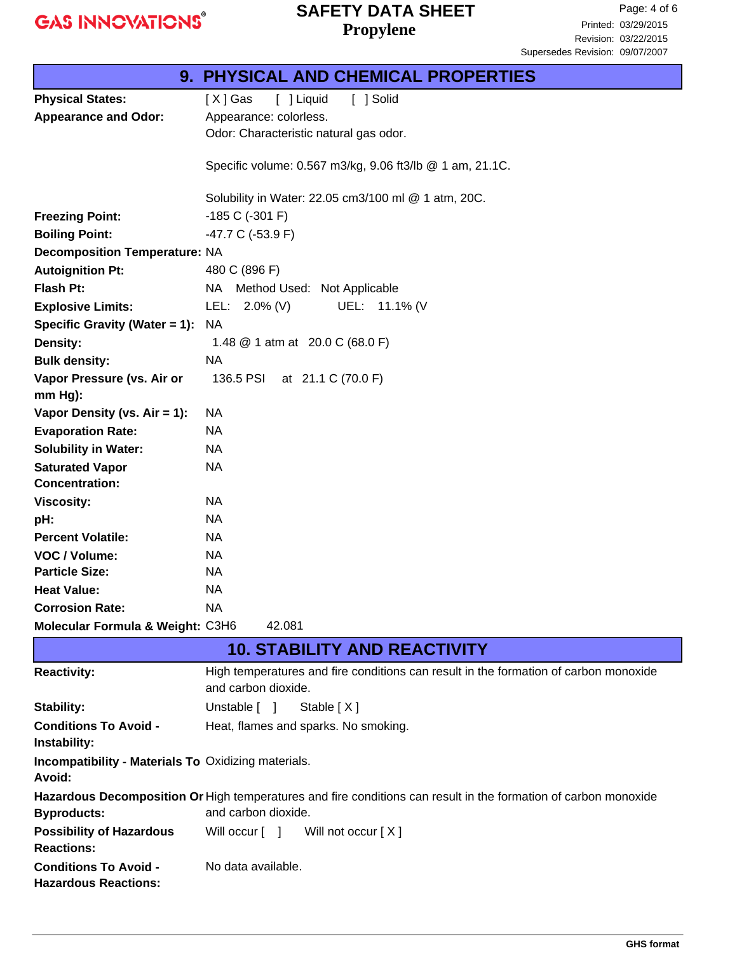# **Propylene SAFETY DATA SHEET**

|                                                                      | <b>9. PHYSICAL AND CHEMICAL PROPERTIES</b>                                                                      |  |  |  |
|----------------------------------------------------------------------|-----------------------------------------------------------------------------------------------------------------|--|--|--|
| <b>Physical States:</b>                                              | [ ] Liquid<br>[ ] Solid<br>$[X]$ Gas                                                                            |  |  |  |
| <b>Appearance and Odor:</b>                                          | Appearance: colorless.                                                                                          |  |  |  |
|                                                                      | Odor: Characteristic natural gas odor.                                                                          |  |  |  |
|                                                                      |                                                                                                                 |  |  |  |
|                                                                      | Specific volume: 0.567 m3/kg, 9.06 ft3/lb @ 1 am, 21.1C.                                                        |  |  |  |
|                                                                      | Solubility in Water: 22.05 cm3/100 ml @ 1 atm, 20C.                                                             |  |  |  |
| <b>Freezing Point:</b>                                               | $-185$ C ( $-301$ F)                                                                                            |  |  |  |
| <b>Boiling Point:</b>                                                | -47.7 C (-53.9 F)                                                                                               |  |  |  |
| <b>Decomposition Temperature: NA</b>                                 |                                                                                                                 |  |  |  |
| <b>Autoignition Pt:</b>                                              | 480 C (896 F)                                                                                                   |  |  |  |
| Flash Pt:                                                            | NA Method Used: Not Applicable                                                                                  |  |  |  |
| <b>Explosive Limits:</b>                                             | UEL: 11.1% (V<br>LEL: 2.0% (V)                                                                                  |  |  |  |
| Specific Gravity (Water = 1):                                        | <b>NA</b>                                                                                                       |  |  |  |
| <b>Density:</b>                                                      | 1.48 @ 1 atm at 20.0 C (68.0 F)                                                                                 |  |  |  |
| <b>Bulk density:</b>                                                 | <b>NA</b>                                                                                                       |  |  |  |
| Vapor Pressure (vs. Air or                                           | 136.5 PSI<br>at 21.1 C (70.0 F)                                                                                 |  |  |  |
| $mm Hg$ ):                                                           |                                                                                                                 |  |  |  |
| Vapor Density (vs. Air = 1):                                         | NA                                                                                                              |  |  |  |
| <b>Evaporation Rate:</b>                                             | <b>NA</b>                                                                                                       |  |  |  |
| <b>Solubility in Water:</b>                                          | NA                                                                                                              |  |  |  |
| <b>Saturated Vapor</b>                                               | <b>NA</b>                                                                                                       |  |  |  |
| <b>Concentration:</b>                                                |                                                                                                                 |  |  |  |
| <b>Viscosity:</b>                                                    | NA                                                                                                              |  |  |  |
| pH:                                                                  | <b>NA</b>                                                                                                       |  |  |  |
| <b>Percent Volatile:</b>                                             | NA                                                                                                              |  |  |  |
| VOC / Volume:                                                        | <b>NA</b>                                                                                                       |  |  |  |
| <b>Particle Size:</b>                                                | NA                                                                                                              |  |  |  |
| <b>Heat Value:</b>                                                   | <b>NA</b>                                                                                                       |  |  |  |
| <b>Corrosion Rate:</b>                                               | <b>NA</b>                                                                                                       |  |  |  |
| Molecular Formula & Weight: C3H6                                     | 42.081                                                                                                          |  |  |  |
|                                                                      | <b>10. STABILITY AND REACTIVITY</b>                                                                             |  |  |  |
| <b>Reactivity:</b>                                                   | High temperatures and fire conditions can result in the formation of carbon monoxide                            |  |  |  |
|                                                                      | and carbon dioxide.                                                                                             |  |  |  |
| <b>Stability:</b>                                                    | Unstable [ ]<br>Stable [X]                                                                                      |  |  |  |
| <b>Conditions To Avoid -</b>                                         | Heat, flames and sparks. No smoking.                                                                            |  |  |  |
| Instability:                                                         |                                                                                                                 |  |  |  |
| <b>Incompatibility - Materials To Oxidizing materials.</b><br>Avoid: |                                                                                                                 |  |  |  |
|                                                                      | Hazardous Decomposition Or High temperatures and fire conditions can result in the formation of carbon monoxide |  |  |  |
| <b>Byproducts:</b>                                                   | and carbon dioxide.                                                                                             |  |  |  |
| <b>Possibility of Hazardous</b><br><b>Reactions:</b>                 | Will occur [ ]<br>Will not occur [X]                                                                            |  |  |  |
| <b>Conditions To Avoid -</b>                                         | No data available.                                                                                              |  |  |  |
| <b>Hazardous Reactions:</b>                                          |                                                                                                                 |  |  |  |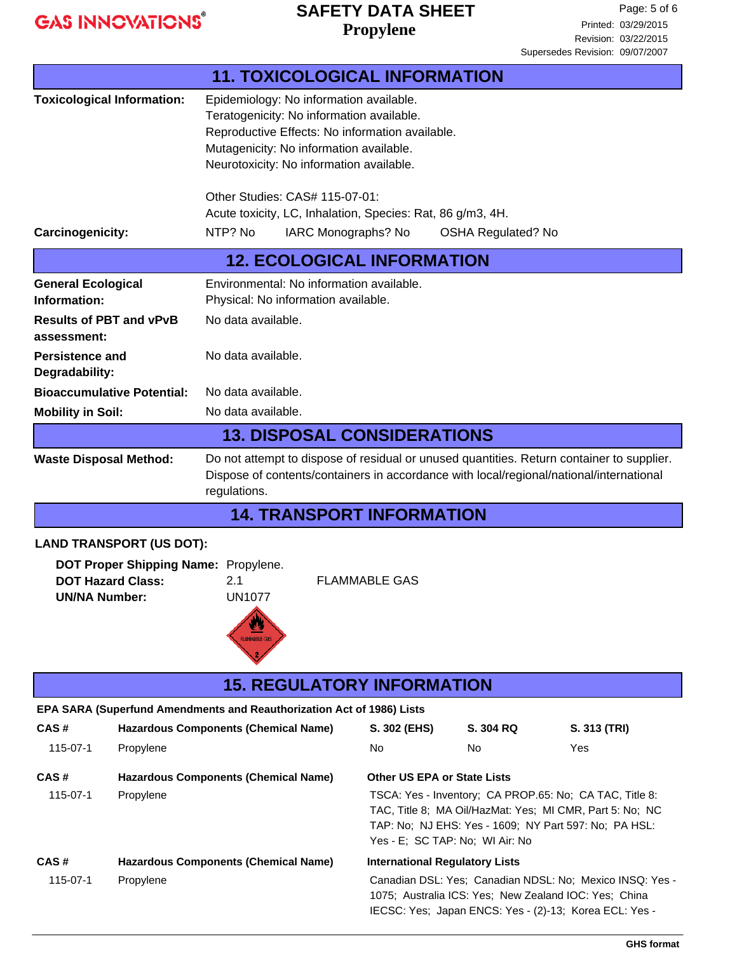# **Propylene SAFETY DATA SHEET**

|                                                                                                                                                                                                                    |                                                                                                                                                                                                                                       | <b>11. TOXICOLOGICAL INFORMATION</b>                                                                                                                                        |                                                                                                                                                                                                                 |           |              |  |
|--------------------------------------------------------------------------------------------------------------------------------------------------------------------------------------------------------------------|---------------------------------------------------------------------------------------------------------------------------------------------------------------------------------------------------------------------------------------|-----------------------------------------------------------------------------------------------------------------------------------------------------------------------------|-----------------------------------------------------------------------------------------------------------------------------------------------------------------------------------------------------------------|-----------|--------------|--|
|                                                                                                                                                                                                                    | <b>Toxicological Information:</b>                                                                                                                                                                                                     | Epidemiology: No information available.<br>Teratogenicity: No information available.<br>Mutagenicity: No information available.<br>Neurotoxicity: No information available. | Reproductive Effects: No information available.                                                                                                                                                                 |           |              |  |
|                                                                                                                                                                                                                    |                                                                                                                                                                                                                                       | Other Studies: CAS# 115-07-01:                                                                                                                                              |                                                                                                                                                                                                                 |           |              |  |
| Carcinogenicity:                                                                                                                                                                                                   |                                                                                                                                                                                                                                       | Acute toxicity, LC, Inhalation, Species: Rat, 86 g/m3, 4H.<br>NTP? No<br>IARC Monographs? No<br><b>OSHA Regulated? No</b>                                                   |                                                                                                                                                                                                                 |           |              |  |
|                                                                                                                                                                                                                    |                                                                                                                                                                                                                                       | <b>12. ECOLOGICAL INFORMATION</b>                                                                                                                                           |                                                                                                                                                                                                                 |           |              |  |
|                                                                                                                                                                                                                    |                                                                                                                                                                                                                                       |                                                                                                                                                                             |                                                                                                                                                                                                                 |           |              |  |
| <b>General Ecological</b><br>Information:                                                                                                                                                                          |                                                                                                                                                                                                                                       | Environmental: No information available.<br>Physical: No information available.                                                                                             |                                                                                                                                                                                                                 |           |              |  |
| <b>Results of PBT and vPvB</b>                                                                                                                                                                                     |                                                                                                                                                                                                                                       | No data available.                                                                                                                                                          |                                                                                                                                                                                                                 |           |              |  |
| assessment:                                                                                                                                                                                                        |                                                                                                                                                                                                                                       |                                                                                                                                                                             |                                                                                                                                                                                                                 |           |              |  |
| <b>Persistence and</b><br>Degradability:                                                                                                                                                                           |                                                                                                                                                                                                                                       | No data available.                                                                                                                                                          |                                                                                                                                                                                                                 |           |              |  |
|                                                                                                                                                                                                                    | <b>Bioaccumulative Potential:</b><br>No data available.                                                                                                                                                                               |                                                                                                                                                                             |                                                                                                                                                                                                                 |           |              |  |
| <b>Mobility in Soil:</b>                                                                                                                                                                                           |                                                                                                                                                                                                                                       | No data available.                                                                                                                                                          |                                                                                                                                                                                                                 |           |              |  |
|                                                                                                                                                                                                                    |                                                                                                                                                                                                                                       | <b>13. DISPOSAL CONSIDERATIONS</b>                                                                                                                                          |                                                                                                                                                                                                                 |           |              |  |
|                                                                                                                                                                                                                    | Do not attempt to dispose of residual or unused quantities. Return container to supplier.<br><b>Waste Disposal Method:</b><br>Dispose of contents/containers in accordance with local/regional/national/international<br>regulations. |                                                                                                                                                                             |                                                                                                                                                                                                                 |           |              |  |
|                                                                                                                                                                                                                    |                                                                                                                                                                                                                                       | <b>14. TRANSPORT INFORMATION</b>                                                                                                                                            |                                                                                                                                                                                                                 |           |              |  |
| <b>LAND TRANSPORT (US DOT):</b><br>DOT Proper Shipping Name: Propylene.<br><b>DOT Hazard Class:</b><br>2.1<br><b>FLAMMABLE GAS</b><br><b>UN1077</b><br><b>UN/NA Number:</b><br>$\clubsuit$<br><b>FLAMMABLE GAS</b> |                                                                                                                                                                                                                                       |                                                                                                                                                                             |                                                                                                                                                                                                                 |           |              |  |
|                                                                                                                                                                                                                    |                                                                                                                                                                                                                                       | <b>15. REGULATORY INFORMATION</b>                                                                                                                                           |                                                                                                                                                                                                                 |           |              |  |
|                                                                                                                                                                                                                    |                                                                                                                                                                                                                                       | EPA SARA (Superfund Amendments and Reauthorization Act of 1986) Lists                                                                                                       |                                                                                                                                                                                                                 |           |              |  |
| CAS#                                                                                                                                                                                                               |                                                                                                                                                                                                                                       | <b>Hazardous Components (Chemical Name)</b>                                                                                                                                 | S. 302 (EHS)                                                                                                                                                                                                    | S. 304 RQ | S. 313 (TRI) |  |
| 115-07-1                                                                                                                                                                                                           | Propylene                                                                                                                                                                                                                             |                                                                                                                                                                             | No                                                                                                                                                                                                              | No.       | Yes          |  |
| CAS#                                                                                                                                                                                                               |                                                                                                                                                                                                                                       | <b>Hazardous Components (Chemical Name)</b>                                                                                                                                 | <b>Other US EPA or State Lists</b>                                                                                                                                                                              |           |              |  |
| 115-07-1                                                                                                                                                                                                           | Propylene                                                                                                                                                                                                                             |                                                                                                                                                                             | TSCA: Yes - Inventory; CA PROP.65: No; CA TAC, Title 8:<br>TAC, Title 8; MA Oil/HazMat: Yes; MI CMR, Part 5: No; NC<br>TAP: No; NJ EHS: Yes - 1609; NY Part 597: No; PA HSL:<br>Yes - E; SC TAP: No; WI Air: No |           |              |  |
| CAS#                                                                                                                                                                                                               |                                                                                                                                                                                                                                       | <b>Hazardous Components (Chemical Name)</b>                                                                                                                                 | <b>International Regulatory Lists</b>                                                                                                                                                                           |           |              |  |
| 115-07-1                                                                                                                                                                                                           | Propylene                                                                                                                                                                                                                             |                                                                                                                                                                             | Canadian DSL: Yes; Canadian NDSL: No; Mexico INSQ: Yes -<br>1075; Australia ICS: Yes; New Zealand IOC: Yes; China<br>IECSC: Yes; Japan ENCS: Yes - (2)-13; Korea ECL: Yes -                                     |           |              |  |